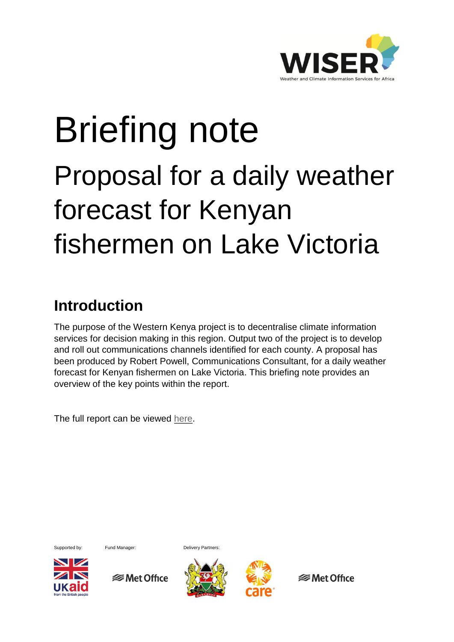

# Briefing note Proposal for a daily weather forecast for Kenyan fishermen on Lake Victoria

# **Introduction**

The purpose of the Western Kenya project is to decentralise climate information services for decision making in this region. Output two of the project is to develop and roll out communications channels identified for each county. A proposal has been produced by Robert Powell, Communications Consultant, for a daily weather forecast for Kenyan fishermen on Lake Victoria. This briefing note provides an overview of the key points within the report.

The full report can be viewed [here.](http://www.metoffice.gov.uk/binaries/content/assets/mohippo/pdf/international/wiser/dailyforecast_lakevictoriafishermen.pdf)



Supported by: Fund Manager: Delivery Partners:



**<del>■</del>** Met Office



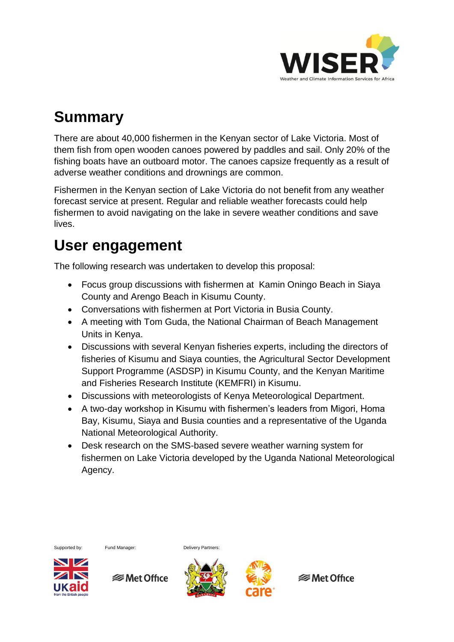

# **Summary**

There are about 40,000 fishermen in the Kenyan sector of Lake Victoria. Most of them fish from open wooden canoes powered by paddles and sail. Only 20% of the fishing boats have an outboard motor. The canoes capsize frequently as a result of adverse weather conditions and drownings are common.

Fishermen in the Kenyan section of Lake Victoria do not benefit from any weather forecast service at present. Regular and reliable weather forecasts could help fishermen to avoid navigating on the lake in severe weather conditions and save lives.

# **User engagement**

The following research was undertaken to develop this proposal:

- Focus group discussions with fishermen at Kamin Oningo Beach in Siaya County and Arengo Beach in Kisumu County.
- Conversations with fishermen at Port Victoria in Busia County.
- A meeting with Tom Guda, the National Chairman of Beach Management Units in Kenya.
- Discussions with several Kenyan fisheries experts, including the directors of fisheries of Kisumu and Siaya counties, the Agricultural Sector Development Support Programme (ASDSP) in Kisumu County, and the Kenyan Maritime and Fisheries Research Institute (KEMFRI) in Kisumu.
- Discussions with meteorologists of Kenya Meteorological Department.
- A two-day workshop in Kisumu with fishermen's leaders from Migori, Homa Bay, Kisumu, Siaya and Busia counties and a representative of the Uganda National Meteorological Authority.
- Desk research on the SMS-based severe weather warning system for fishermen on Lake Victoria developed by the Uganda National Meteorological Agency.

Supported by: Fund Manager: Delivery Partners:



**<del></del>** Met Office



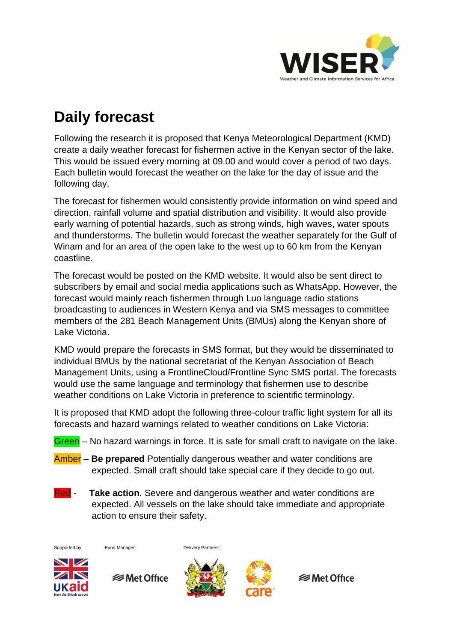

# **Daily forecast**

Following the research it is proposed that Kenya Meteorological Department (KMD) create a daily weather forecast for fishermen active in the Kenyan sector of the lake. This would be issued every morning at 09.00 and would cover a period of two days. Each bulletin would forecast the weather on the lake for the day of issue and the following day.

The forecast for fishermen would consistently provide information on wind speed and direction, rainfall volume and spatial distribution and visibility. It would also provide early warning of potential hazards, such as strong winds, high waves, water spouts and thunderstorms. The bulletin would forecast the weather separately for the Gulf of Winam and for an area of the open lake to the west up to 60 km from the Kenyan coastline.

The forecast would be posted on the KMD website. It would also be sent direct to subscribers by email and social media applications such as WhatsApp. However, the forecast would mainly reach fishermen through Luo language radio stations broadcasting to audiences in Western Kenya and via SMS messages to committee members of the 281 Beach Management Units (BMUs) along the Kenyan shore of Lake Victoria.

KMD would prepare the forecasts in SMS format, but they would be disseminated to individual BMUs by the national secretariat of the Kenyan Association of Beach Management Units, using a FrontlineCloud/Frontline Sync SMS portal. The forecasts would use the same language and terminology that fishermen use to describe weather conditions on Lake Victoria in preference to scientific terminology.

It is proposed that KMD adopt the following three-colour traffic light system for all its forecasts and hazard warnings related to weather conditions on Lake Victoria:

- Green No hazard warnings in force. It is safe for small craft to navigate on the lake.
- Amber **Be prepared** Potentially dangerous weather and water conditions are expected. Small craft should take special care if they decide to go out.
- Red **Take action**. Severe and dangerous weather and water conditions are expected. All vessels on the lake should take immediate and appropriate action to ensure their safety.

Supported by: Fund Manager: Delivery Partners:



**<del></del>** Met Office



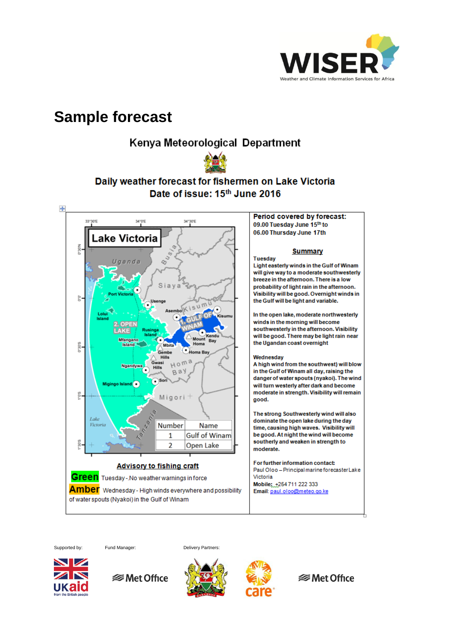

### **Sample forecast**

### Kenya Meteorological Department



### Daily weather forecast for fishermen on Lake Victoria Date of issue: 15th June 2016



Supported by: Fund Manager: Delivery Partners:









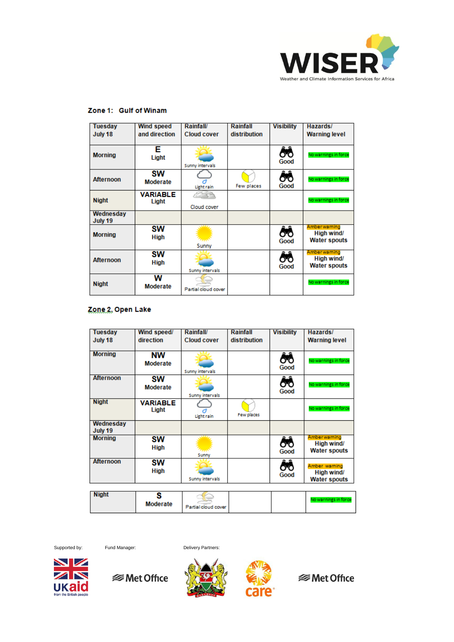

| Tuesday<br>July 18   | <b>Wind speed</b><br>and direction | <b>Rainfall/</b><br><b>Cloud cover</b> | Rainfall<br>distribution | <b>Visibility</b> | Hazards/<br><b>Warning level</b>                  |
|----------------------|------------------------------------|----------------------------------------|--------------------------|-------------------|---------------------------------------------------|
| <b>Morning</b>       | Е<br>Light                         | Sunny intervals                        |                          | ÔÔ<br>Good        | No warnings in force                              |
| <b>Afternoon</b>     | SW<br>Moderate                     | <b>Light rain</b>                      | Few places               | ÔÔ<br>Good        | No warnings in force                              |
| <b>Night</b>         | <b>VARIABLE</b><br>Light           | Cloud cover                            |                          |                   | No warnings in force                              |
| Wednesday<br>July 19 |                                    |                                        |                          |                   |                                                   |
| <b>Morning</b>       | sw<br><b>High</b>                  | Sunny                                  |                          | రిం<br>Good       | Amberwarning<br>High wind/<br><b>Water spouts</b> |
| <b>Afternoon</b>     | <b>SW</b><br><b>High</b>           | Sunny intervals                        |                          | Good              | Amberwarning<br>High wind/<br><b>Water spouts</b> |
| <b>Night</b>         | w<br>Moderate                      | Partial cloud cover                    |                          |                   | No warnings in force                              |

#### Zone 1: Gulf of Winam

#### Zone 2, Open Lake

| <b>Tuesday</b>       | Wind speed/                  | <b>Rainfall/</b>    | Rainfall     | <b>Visibility</b> | Hazards/                                           |
|----------------------|------------------------------|---------------------|--------------|-------------------|----------------------------------------------------|
| July 18              | direction                    | <b>Cloud cover</b>  | distribution |                   | <b>Warning level</b>                               |
| <b>Morning</b>       | <b>NW</b><br><b>Moderate</b> | Sunny intervals     |              | ôô<br>Good        | No warnings in force                               |
| <b>Afternoon</b>     | SW<br><b>Moderate</b>        | Sunny intervals     |              | ÔÔ<br>Good        | No warnings in force                               |
| <b>Night</b>         | <b>VARIABLE</b><br>Light     | <b>Light rain</b>   | Few places   |                   | No warnings in force                               |
| Wednesday<br>July 19 |                              |                     |              |                   |                                                    |
| <b>Morning</b>       | sw<br><b>High</b>            | Sunny               |              | ෯<br>Good         | Amberwarning<br>High wind/<br><b>Water spouts</b>  |
| <b>Afternoon</b>     | <b>SW</b><br><b>High</b>     | Sunny intervals     |              | ඊ<br>Good         | Amber warning<br>High wind/<br><b>Water spouts</b> |
| <b>Night</b>         | s<br><b>Moderate</b>         | Partial cloud cover |              |                   | No warnings in force                               |

Supported by: Fund Manager: Delivery Partners:



*<del></del>* Met Office





**<sup>■</sup>Met Office**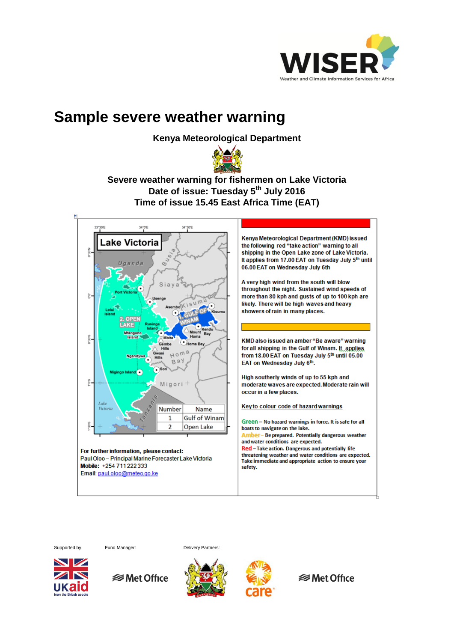

### **Sample severe weather warning**

**Kenya Meteorological Department** 



### **Severe weather warning for fishermen on Lake Victoria Date of issue: Tuesday 5th July 2016 Time of issue 15.45 East Africa Time (EAT)**



Supported by: Fund Manager: Delivery Partners: